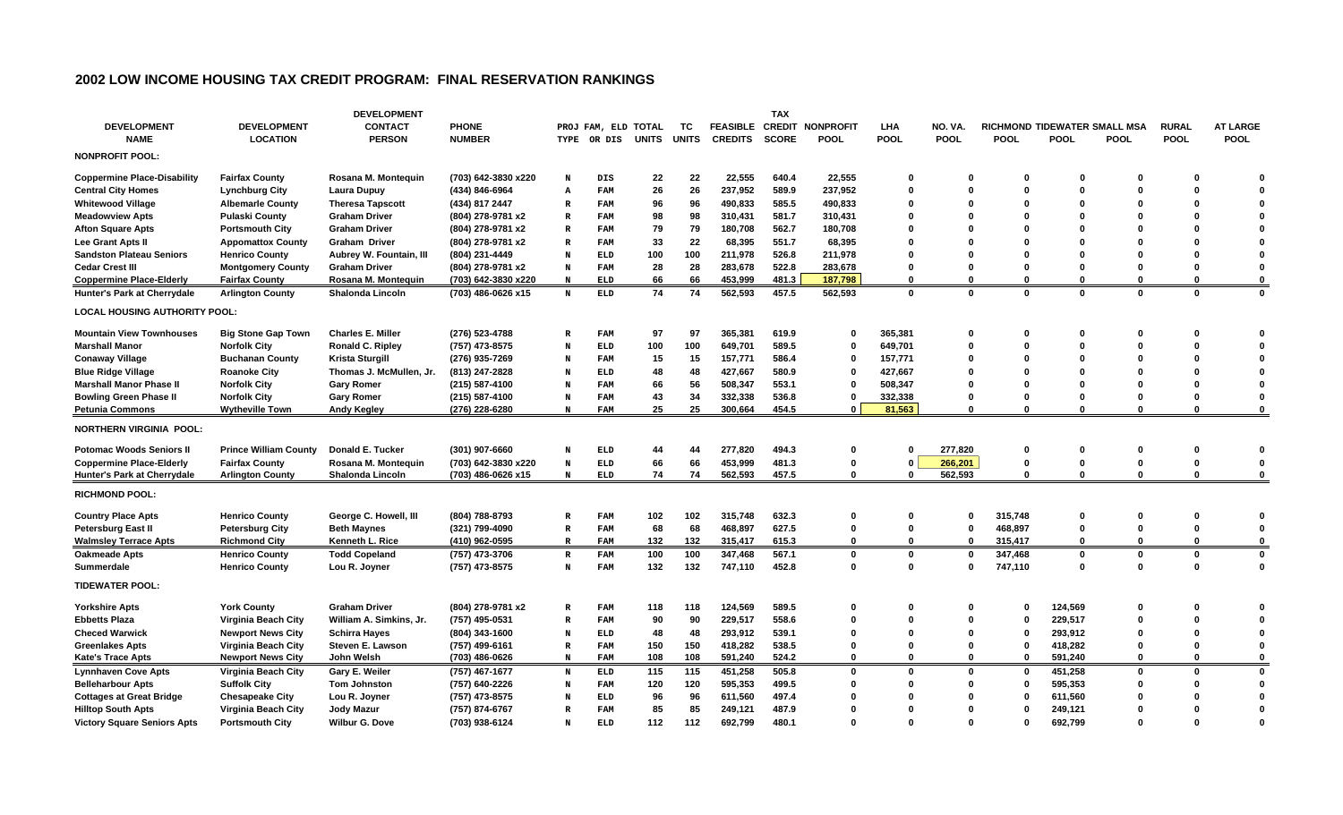## **2002 LOW INCOME HOUSING TAX CREDIT PROGRAM: FINAL RESERVATION RANKINGS**

|                                      |                              | <b>DEVELOPMENT</b>       |                     |              |               |              |              |                 | <b>TAX</b>    |                  |              |             |              |                              |              |              |                 |
|--------------------------------------|------------------------------|--------------------------|---------------------|--------------|---------------|--------------|--------------|-----------------|---------------|------------------|--------------|-------------|--------------|------------------------------|--------------|--------------|-----------------|
| <b>DEVELOPMENT</b>                   | <b>DEVELOPMENT</b>           | <b>CONTACT</b>           | <b>PHONE</b>        |              | PROJ FAM, ELD | TOTAL        | тс           | <b>FEASIBLE</b> | <b>CREDIT</b> | <b>NONPROFIT</b> | LHA          | NO. VA.     |              | RICHMOND TIDEWATER SMALL MSA |              | <b>RURAL</b> | <b>AT LARGE</b> |
| <b>NAME</b>                          | <b>LOCATION</b>              | <b>PERSON</b>            | <b>NUMBER</b>       | TYPE         | OR DIS        | <b>UNITS</b> | <b>UNITS</b> | <b>CREDITS</b>  | <b>SCORE</b>  | <b>POOL</b>      | <b>POOL</b>  | <b>POOL</b> | <b>POOL</b>  | <b>POOL</b>                  | <b>POOL</b>  | <b>POOL</b>  | <b>POOL</b>     |
| <b>NONPROFIT POOL:</b>               |                              |                          |                     |              |               |              |              |                 |               |                  |              |             |              |                              |              |              |                 |
| <b>Coppermine Place-Disability</b>   | <b>Fairfax County</b>        | Rosana M. Montequin      | (703) 642-3830 x220 | N            | DIS           | 22           | 22           | 22,555          | 640.4         | 22,555           | 0            | 0           | 0            | O                            | ŋ            |              |                 |
| <b>Central City Homes</b>            | <b>Lynchburg City</b>        | Laura Dupuy              | (434) 846-6964      | A            | <b>FAM</b>    | 26           | 26           | 237,952         | 589.9         | 237,952          | 0            | $\Omega$    | $\Omega$     |                              | O            |              |                 |
| <b>Whitewood Village</b>             | <b>Albemarle County</b>      | <b>Theresa Tapscott</b>  | (434) 817 2447      | $\mathbb{R}$ | <b>FAM</b>    | 96           | 96           | 490,833         | 585.5         | 490,833          | 0            | $\Omega$    | $\Omega$     |                              | ŋ            |              |                 |
| <b>Meadowview Apts</b>               | <b>Pulaski County</b>        | <b>Graham Driver</b>     | (804) 278-9781 x2   | $\mathbb{R}$ | <b>FAM</b>    | 98           | 98           | 310,431         | 581.7         | 310,431          | 0            | $\Omega$    | $\Omega$     |                              |              |              |                 |
| <b>Afton Square Apts</b>             | <b>Portsmouth City</b>       | <b>Graham Driver</b>     | (804) 278-9781 x2   | $\mathbb{R}$ | FAM           | 79           | 79           | 180,708         | 562.7         | 180,708          | 0            |             |              |                              |              |              |                 |
| Lee Grant Apts II                    | <b>Appomattox County</b>     | <b>Graham Driver</b>     | (804) 278-9781 x2   | $\mathbb{R}$ | <b>FAM</b>    | 33           | 22           | 68,395          | 551.7         | 68,395           | 0            |             | $\Omega$     |                              |              |              |                 |
| <b>Sandston Plateau Seniors</b>      | <b>Henrico County</b>        | Aubrey W. Fountain, III  | (804) 231-4449      | N            | <b>ELD</b>    | 100          | 100          | 211,978         | 526.8         | 211,978          | 0            |             |              |                              |              |              |                 |
| <b>Cedar Crest III</b>               | <b>Montgomery County</b>     | <b>Graham Driver</b>     | (804) 278-9781 x2   | N            | <b>FAM</b>    | 28           | 28           | 283,678         | 522.8         | 283,678          | 0            | 0           | 0            |                              | O            |              | $\Omega$        |
| Coppermine Place-Elderly             | <b>Fairfax County</b>        | Rosana M. Montequin      | (703) 642-3830 x220 | N            | <b>ELD</b>    | 66           | 66           | 453,999         | 481.3         | 187,798          | 0            | 0           | 0            |                              | $\mathbf{0}$ | 0            | $\Omega$        |
| Hunter's Park at Cherrydale          | <b>Arlington County</b>      | <b>Shalonda Lincoln</b>  | (703) 486-0626 x15  | $\mathbf N$  | <b>ELD</b>    | 74           | 74           | 562,593         | 457.5         | 562,593          | $\mathbf{0}$ | $\mathbf 0$ | $\mathbf{0}$ | $\mathbf{0}$                 | $\bf{0}$     | $\mathbf 0$  | $\mathbf 0$     |
| <b>LOCAL HOUSING AUTHORITY POOL:</b> |                              |                          |                     |              |               |              |              |                 |               |                  |              |             |              |                              |              |              |                 |
| <b>Mountain View Townhouses</b>      | <b>Big Stone Gap Town</b>    | <b>Charles E. Miller</b> | (276) 523-4788      | $\mathbb{R}$ | <b>FAM</b>    | 97           | 97           | 365.381         | 619.9         | 0                | 365,381      | 0           | 0            |                              |              |              |                 |
| <b>Marshall Manor</b>                | <b>Norfolk City</b>          | <b>Ronald C. Ripley</b>  | (757) 473-8575      | N            | <b>ELD</b>    | 100          | 100          | 649.701         | 589.5         | $\bf{0}$         | 649,701      | $\Omega$    | $\Omega$     |                              | O            |              |                 |
| <b>Conaway Village</b>               | <b>Buchanan County</b>       | Krista Sturgill          | (276) 935-7269      | N            | <b>FAM</b>    | 15           | 15           | 157,771         | 586.4         | 0                | 157,771      | $\Omega$    | 0            |                              |              |              |                 |
| <b>Blue Ridge Village</b>            | <b>Roanoke City</b>          | Thomas J. McMullen, Jr.  | (813) 247-2828      | N            | <b>ELD</b>    | 48           | 48           | 427,667         | 580.9         | $\bf{0}$         | 427,667      | $\Omega$    | O            |                              |              |              |                 |
| <b>Marshall Manor Phase II</b>       | <b>Norfolk City</b>          | <b>Gary Romer</b>        | (215) 587-4100      | N            | FAM           | 66           | 56           | 508,347         | 553.1         | 0                | 508,347      |             | O            |                              | ŋ            |              |                 |
| <b>Bowling Green Phase II</b>        | <b>Norfolk City</b>          | <b>Gary Romer</b>        | (215) 587-4100      | N            | <b>FAM</b>    | 43           | 34           | 332,338         | 536.8         | $\bf{0}$         | 332,338      | 0           | $\Omega$     |                              | O            | O            | 0               |
| <b>Petunia Commons</b>               | <b>Wytheville Town</b>       | <b>Andy Kegley</b>       | (276) 228-6280      | $\, {\bf N}$ | <b>FAM</b>    | 25           | 25           | 300,664         | 454.5         | 0                | 81,563       | $\Omega$    | $\Omega$     | 0                            | 0            | 0            | 0               |
| <b>NORTHERN VIRGINIA POOL:</b>       |                              |                          |                     |              |               |              |              |                 |               |                  |              |             |              |                              |              |              |                 |
| <b>Potomac Woods Seniors II</b>      | <b>Prince William County</b> | Donald E. Tucker         | (301) 907-6660      | N            | <b>ELD</b>    | 44           | 44           | 277,820         | 494.3         | 0                | 0            | 277,820     | 0            | 0                            | 0            | 0            |                 |
| <b>Coppermine Place-Elderly</b>      | <b>Fairfax County</b>        | Rosana M. Montequin      | (703) 642-3830 x220 | N            | <b>ELD</b>    | 66           | 66           | 453,999         | 481.3         | 0                | $\mathbf 0$  | 266,201     | 0            | $\bf{0}$                     | 0            | 0            | 0               |
| Hunter's Park at Cherrydale          | <b>Arlington County</b>      | Shalonda Lincoln         | (703) 486-0626 x15  | $\, {\bf N}$ | <b>ELD</b>    | 74           | 74           | 562,593         | 457.5         | 0                | 0            | 562,593     | $\Omega$     | $\Omega$                     | $\Omega$     | $\mathbf{0}$ | 0               |
| <b>RICHMOND POOL:</b>                |                              |                          |                     |              |               |              |              |                 |               |                  |              |             |              |                              |              |              |                 |
| <b>Country Place Apts</b>            | <b>Henrico County</b>        | George C. Howell, III    | (804) 788-8793      | $\mathbb{R}$ | <b>FAM</b>    | 102          | 102          | 315,748         | 632.3         | 0                | 0            | 0           | 315,748      | 0                            | O            | 0            | n               |
| Petersburg East II                   | <b>Petersburg City</b>       | <b>Beth Maynes</b>       | (321) 799-4090      | R            | <b>FAM</b>    | 68           | 68           | 468,897         | 627.5         | 0                | 0            | $\Omega$    | 468,897      | 0                            | 0            | 0            | 0               |
| <b>Walmsley Terrace Apts</b>         | <b>Richmond City</b>         | Kenneth L. Rice          | (410) 962-0595      | $\mathbb R$  | <b>FAM</b>    | 132          | 132          | 315,417         | 615.3         | 0                | 0            | $\Omega$    | 315,417      | 0                            | $\Omega$     | $\bf{0}$     | 0               |
| <b>Oakmeade Apts</b>                 | <b>Henrico County</b>        | <b>Todd Copeland</b>     | (757) 473-3706      | $\mathbb{R}$ | <b>FAM</b>    | 100          | 100          | 347.468         | 567.1         | 0                | $\bf{0}$     | $\Omega$    | 347,468      | $\Omega$                     | 0            | 0            | 0               |
| Summerdale                           | <b>Henrico County</b>        | Lou R. Joyner            | (757) 473-8575      | N            | <b>FAM</b>    | 132          | 132          | 747,110         | 452.8         | 0                | $\bf{0}$     | 0           | 747,110      | $\Omega$                     | $\Omega$     | $\Omega$     | $\Omega$        |
| <b>TIDEWATER POOL:</b>               |                              |                          |                     |              |               |              |              |                 |               |                  |              |             |              |                              |              |              |                 |
| <b>Yorkshire Apts</b>                | <b>York County</b>           | <b>Graham Driver</b>     | (804) 278-9781 x2   | $\mathbb{R}$ | <b>FAM</b>    | 118          | 118          | 124,569         | 589.5         | 0                | 0            | 0           | 0            | 124,569                      | O            |              |                 |
| <b>Ebbetts Plaza</b>                 | Virginia Beach City          | William A. Simkins, Jr.  | (757) 495-0531      | $\mathbb{R}$ | <b>FAM</b>    | 90           | 90           | 229,517         | 558.6         | $\bf{0}$         | $\bf{0}$     | $\Omega$    | $\Omega$     | 229,517                      | 0            | O            |                 |
| <b>Checed Warwick</b>                | <b>Newport News City</b>     | <b>Schirra Hayes</b>     | (804) 343-1600      | N            | <b>ELD</b>    | 48           | 48           | 293,912         | 539.1         | 0                | 0            | 0           | 0            | 293,912                      |              |              |                 |
| <b>Greenlakes Apts</b>               | Virginia Beach City          | Steven E. Lawson         | (757) 499-6161      | ${\bf R}$    | <b>FAM</b>    | 150          | 150          | 418,282         | 538.5         | $\bf{0}$         | 0            | 0           | 0            | 418,282                      | 0            | 0            | 0               |
| <b>Kate's Trace Apts</b>             | <b>Newport News City</b>     | John Welsh               | (703) 486-0626      | $\mathbf N$  | <b>FAM</b>    | 108          | 108          | 591,240         | 524.2         | $\Omega$         | $\bf{0}$     | 0           | $\Omega$     | 591,240                      | 0            | 0            | 0               |
| <b>Lynnhaven Cove Apts</b>           | Virginia Beach City          | Gary E. Weiler           | (757) 467-1677      | N            | <b>ELD</b>    | 115          | 115          | 451,258         | 505.8         | 0                | 0            | 0           | $\Omega$     | 451,258                      | 0            | O            | 0               |
| <b>Belleharbour Apts</b>             | <b>Suffolk City</b>          | <b>Tom Johnston</b>      | (757) 640-2226      | N            | FAM           | 120          | 120          | 595,353         | 499.5         | O                | $\bf{0}$     | 0           | 0            | 595,353                      | O            |              | 0               |
| <b>Cottages at Great Bridge</b>      | <b>Chesapeake City</b>       | Lou R. Joyner            | (757) 473-8575      | N            | <b>ELD</b>    | 96           | 96           | 611,560         | 497.4         | O                | 0            | 0           |              | 611,560                      |              |              | $\Omega$        |
| <b>Hilltop South Apts</b>            | Virginia Beach City          | Jody Mazur               | (757) 874-6767      | $\mathbb{R}$ | FAM           | 85           | 85           | 249,121         | 487.9         | o                | 0            | n           | 0            | 249,121                      | N            |              | 0               |
| Victory Square Seniors Apts          | <b>Portsmouth City</b>       | <b>Wilbur G. Dove</b>    | (703) 938-6124      | N            | <b>ELD</b>    | 112          | 112          | 692,799         | 480.1         | ŋ                | $\mathbf{0}$ |             | 0            | 692,799                      | O            | U            | $\Omega$        |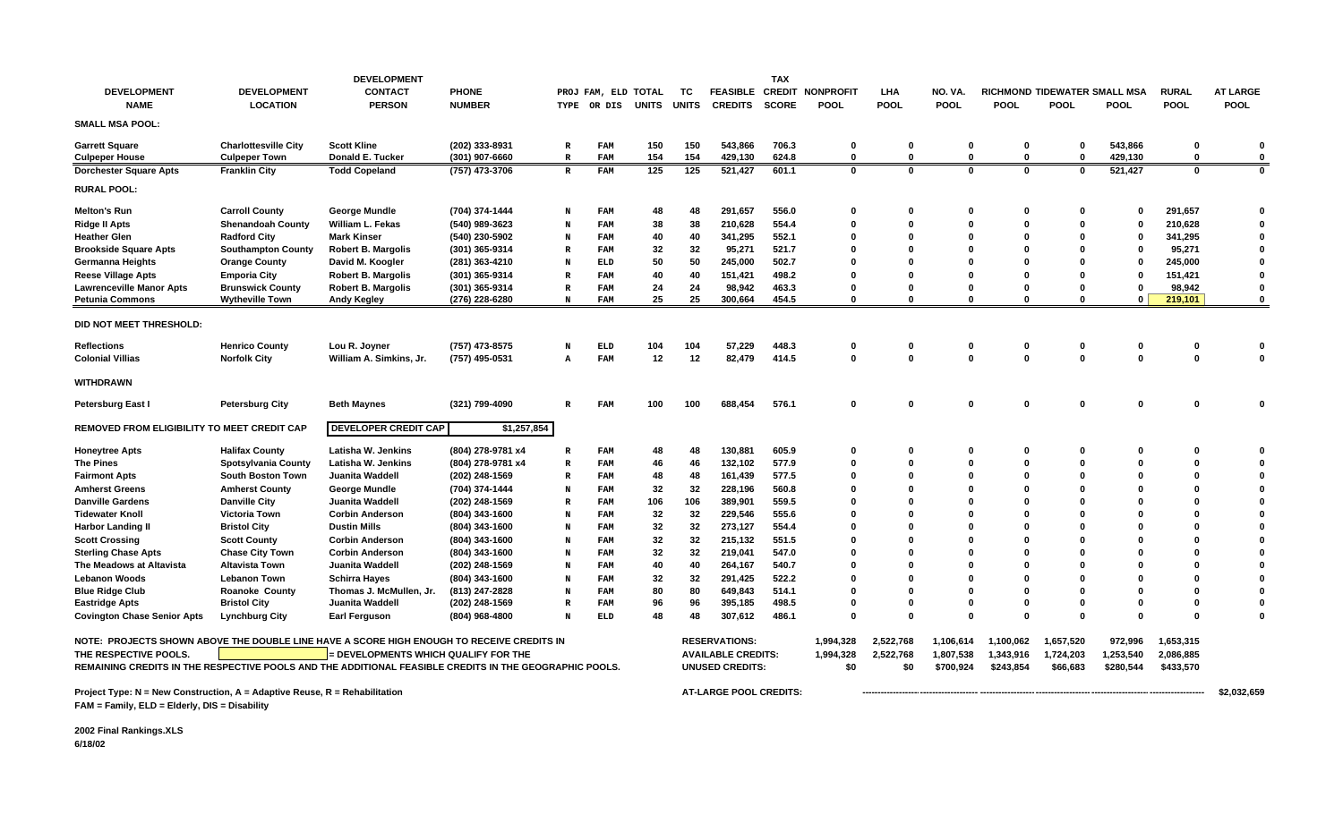|                                                                                                        |                             | <b>DEVELOPMENT</b>                 |                   |              |               |              |              |                           | <b>TAX</b>    |                  |              |              |              |                              |             |              |                 |
|--------------------------------------------------------------------------------------------------------|-----------------------------|------------------------------------|-------------------|--------------|---------------|--------------|--------------|---------------------------|---------------|------------------|--------------|--------------|--------------|------------------------------|-------------|--------------|-----------------|
| <b>DEVELOPMENT</b>                                                                                     | <b>DEVELOPMENT</b>          | <b>CONTACT</b>                     | <b>PHONE</b>      |              | PROJ FAM, ELD | <b>TOTAL</b> | тс           | <b>FEASIBLE</b>           | <b>CREDIT</b> | <b>NONPROFIT</b> | LHA          | NO. VA.      |              | RICHMOND TIDEWATER SMALL MSA |             | <b>RURAL</b> | <b>AT LARGE</b> |
| <b>NAME</b>                                                                                            | <b>LOCATION</b>             | <b>PERSON</b>                      | <b>NUMBER</b>     | TYPE         | OR DIS        | <b>UNITS</b> | <b>UNITS</b> | <b>CREDITS</b>            | <b>SCORE</b>  | <b>POOL</b>      | <b>POOL</b>  | <b>POOL</b>  | <b>POOL</b>  | <b>POOL</b>                  | <b>POOL</b> | <b>POOL</b>  | <b>POOL</b>     |
| <b>SMALL MSA POOL:</b>                                                                                 |                             |                                    |                   |              |               |              |              |                           |               |                  |              |              |              |                              |             |              |                 |
| <b>Garrett Square</b>                                                                                  | <b>Charlottesville City</b> | <b>Scott Kline</b>                 | (202) 333-8931    | R            | FAM           | 150          | 150          | 543.866                   | 706.3         | 0                | 0            | 0            | $\mathbf 0$  | $\mathbf 0$                  | 543,866     | 0            | $\Omega$        |
| <b>Culpeper House</b>                                                                                  | <b>Culpeper Town</b>        | Donald E. Tucker                   | (301) 907-6660    | $\mathbb{R}$ | <b>FAM</b>    | 154          | 154          | 429,130                   | 624.8         | $\Omega$         | $\mathbf 0$  | $\mathbf 0$  | $\mathbf{0}$ | $\mathbf 0$                  | 429,130     | $\mathbf 0$  | $\Omega$        |
| <b>Dorchester Square Apts</b>                                                                          | <b>Franklin City</b>        | <b>Todd Copeland</b>               | (757) 473-3706    | $\mathbb R$  | <b>FAM</b>    | 125          | 125          | 521,427                   | 601.1         | $\mathbf 0$      | $\mathbf{0}$ | $\mathbf 0$  | $\mathbf{0}$ | $\mathbf{0}$                 | 521,427     | $\mathbf 0$  | $\mathbf 0$     |
| <b>RURAL POOL:</b>                                                                                     |                             |                                    |                   |              |               |              |              |                           |               |                  |              |              |              |                              |             |              |                 |
| <b>Melton's Run</b>                                                                                    | <b>Carroll County</b>       | George Mundle                      | (704) 374-1444    | N            | FAM           | 48           | 48           | 291,657                   | 556.0         | $\Omega$         | 0            | 0            | 0            | 0                            | 0           | 291,657      | $\Omega$        |
| Ridge II Apts                                                                                          | <b>Shenandoah County</b>    | William L. Fekas                   | (540) 989-3623    | N            | FAM           | 38           | 38           | 210,628                   | 554.4         | $\Omega$         | O            | 0            | $\mathbf{0}$ | $\Omega$                     | 0           | 210,628      | $\Omega$        |
| <b>Heather Glen</b>                                                                                    | <b>Radford City</b>         | <b>Mark Kinser</b>                 | (540) 230-5902    | N            | FAM           | 40           | 40           | 341,295                   | 552.1         | n                | O            | $\mathbf{0}$ | $\Omega$     | O                            | 0           | 341,295      | $\Omega$        |
| <b>Brookside Square Apts</b>                                                                           | <b>Southampton County</b>   | <b>Robert B. Margolis</b>          | (301) 365-9314    | R            | FAM           | 32           | 32           | 95,271                    | 521.7         |                  | Ω            | 0            | $\Omega$     |                              | 0           | 95,271       | $\Omega$        |
| Germanna Heights                                                                                       | <b>Orange County</b>        | David M. Koogler                   | (281) 363-4210    | N            | <b>ELD</b>    | 50           | 50           | 245,000                   | 502.7         |                  |              | O            | $\mathbf{0}$ |                              | 0           | 245,000      | $\Omega$        |
| <b>Reese Village Apts</b>                                                                              | <b>Emporia City</b>         | <b>Robert B. Margolis</b>          | (301) 365-9314    | $\mathbb R$  | FAM           | 40           | 40           | 151,421                   | 498.2         |                  |              | 0            | $\Omega$     |                              | 0           | 151,421      | $\Omega$        |
| <b>Lawrenceville Manor Apts</b>                                                                        | <b>Brunswick County</b>     | <b>Robert B. Margolis</b>          | (301) 365-9314    | $\mathbb R$  | FAM           | 24           | 24           | 98,942                    | 463.3         | n                | 0            | 0            | 0            | $\Omega$                     | 0           | 98,942       | $\Omega$        |
| <b>Petunia Commons</b>                                                                                 | <b>Wytheville Town</b>      | <b>Andy Kegley</b>                 | (276) 228-6280    | N            | FAM           | 25           | 25           | 300,664                   | 454.5         | $\Omega$         | $\Omega$     | $\Omega$     | $\Omega$     | $\Omega$                     | $\Omega$    | 219,101      | $\mathbf{0}$    |
| DID NOT MEET THRESHOLD:                                                                                |                             |                                    |                   |              |               |              |              |                           |               |                  |              |              |              |                              |             |              |                 |
| <b>Reflections</b>                                                                                     | <b>Henrico County</b>       | Lou R. Joyner                      | (757) 473-8575    | N            | <b>ELD</b>    | 104          | 104          | 57,229                    | 448.3         | 0                | 0            | 0            | 0            | $\mathbf 0$                  | 0           | 0            |                 |
| <b>Colonial Villias</b>                                                                                | <b>Norfolk City</b>         | William A. Simkins, Jr.            | (757) 495-0531    | A            | FAM           | 12           | 12           | 82,479                    | 414.5         | $\mathbf 0$      | $\bf{0}$     | $\mathbf 0$  | $\mathbf{0}$ | $\mathbf{0}$                 | $\Omega$    | $\Omega$     | $\Omega$        |
|                                                                                                        |                             |                                    |                   |              |               |              |              |                           |               |                  |              |              |              |                              |             |              |                 |
| <b>WITHDRAWN</b>                                                                                       |                             |                                    |                   |              |               |              |              |                           |               |                  |              |              |              |                              |             |              |                 |
| Petersburg East I                                                                                      | <b>Petersburg City</b>      | <b>Beth Maynes</b>                 | (321) 799-4090    | $\mathbb{R}$ | FAM           | 100          | 100          | 688,454                   | 576.1         | 0                | $\bf{0}$     | $\mathbf 0$  | 0            | $\Omega$                     | $\Omega$    | 0            | $\Omega$        |
| REMOVED FROM ELIGIBILITY TO MEET CREDIT CAP                                                            |                             | <b>DEVELOPER CREDIT CAP</b>        | \$1,257,854       |              |               |              |              |                           |               |                  |              |              |              |                              |             |              |                 |
| Honeytree Apts                                                                                         | <b>Halifax County</b>       | Latisha W. Jenkins                 | (804) 278-9781 x4 | R            | <b>FAM</b>    | 48           | 48           | 130,881                   | 605.9         | $\Omega$         | 0            | 0            | - 0          | 0                            | 0           | $\Omega$     |                 |
| <b>The Pines</b>                                                                                       | <b>Spotsylvania County</b>  | Latisha W. Jenkins                 | (804) 278-9781 x4 | $\mathbb R$  | FAM           | 46           | 46           | 132,102                   | 577.9         | $\Omega$         | O            | $\mathbf{0}$ | $\Omega$     |                              | 0           | $\Omega$     | $\Omega$        |
| <b>Fairmont Apts</b>                                                                                   | <b>South Boston Town</b>    | Juanita Waddell                    | (202) 248-1569    | R            | FAM           | 48           | 48           | 161,439                   | 577.5         |                  | 0            | 0            | $\mathbf 0$  |                              | 0           | $\Omega$     | $\Omega$        |
| <b>Amherst Greens</b>                                                                                  | <b>Amherst County</b>       | George Mundle                      | (704) 374-1444    | N            | FAM           | 32           | 32           | 228,196                   | 560.8         |                  |              | 0            | $\Omega$     |                              |             | O            | $\Omega$        |
| <b>Danville Gardens</b>                                                                                | <b>Danville City</b>        | Juanita Waddell                    | (202) 248-1569    | $\mathbb R$  | FAM           | 106          | 106          | 389,901                   | 559.5         |                  |              | 0            | $\Omega$     |                              | n           | O            | $\Omega$        |
| <b>Tidewater Knoll</b>                                                                                 | <b>Victoria Town</b>        | <b>Corbin Anderson</b>             | (804) 343-1600    | N            | FAM           | 32           | 32           | 229,546                   | 555.6         |                  |              | n            | $\Omega$     |                              |             |              |                 |
| <b>Harbor Landing II</b>                                                                               | <b>Bristol City</b>         | <b>Dustin Mills</b>                | (804) 343-1600    | N            | FAM           | 32           | 32           | 273,127                   | 554.4         |                  |              | n            | $\Omega$     |                              | n           | O            |                 |
| <b>Scott Crossing</b>                                                                                  | <b>Scott County</b>         | <b>Corbin Anderson</b>             | (804) 343-1600    | N            | FAM           | 32           | 32           | 215,132                   | 551.5         |                  |              | n            | $\Omega$     |                              |             | O            |                 |
| <b>Sterling Chase Apts</b>                                                                             | <b>Chase City Town</b>      | <b>Corbin Anderson</b>             | (804) 343-1600    | N            | FAM           | 32           | 32           | 219,041                   | 547.0         |                  | ŋ            | n            | $\Omega$     |                              | n           | O            | $\Omega$        |
| The Meadows at Altavista                                                                               | <b>Altavista Town</b>       | Juanita Waddell                    | (202) 248-1569    | N            | FAM           | 40           | 40           | 264,167                   | 540.7         |                  |              |              | $\Omega$     |                              |             |              |                 |
| <b>Lebanon Woods</b>                                                                                   | <b>Lebanon Town</b>         | <b>Schirra Hayes</b>               | (804) 343-1600    | N            | FAM           | 32           | 32           | 291,425                   | 522.2         |                  | O            | 0            | $\Omega$     |                              | n           | O            |                 |
| <b>Blue Ridge Club</b>                                                                                 | <b>Roanoke County</b>       | Thomas J. McMullen, Jr.            | (813) 247-2828    | N            | FAM           | 80           | 80           | 649.843                   | 514.1         | n                | Ω            | n            | $\Omega$     |                              | n           | O            |                 |
| <b>Eastridge Apts</b>                                                                                  | <b>Bristol City</b>         | Juanita Waddell                    | (202) 248-1569    | $\mathbb R$  | FAM           | 96           | 96           | 395,185                   | 498.5         | $\Omega$         | 0            | 0            | 0            |                              | 0           | $\bf{0}$     |                 |
| <b>Covington Chase Senior Apts</b>                                                                     | <b>Lynchburg City</b>       | Earl Ferguson                      | (804) 968-4800    | N            | <b>ELD</b>    | 48           | 48           | 307,612                   | 486.1         | $\Omega$         | $\bf{0}$     | $\Omega$     | $\Omega$     | $\Omega$                     | $\Omega$    | $\Omega$     | $\Omega$        |
|                                                                                                        |                             |                                    |                   |              |               |              |              |                           |               |                  |              |              |              |                              |             |              |                 |
| NOTE: PROJECTS SHOWN ABOVE THE DOUBLE LINE HAVE A SCORE HIGH ENOUGH TO RECEIVE CREDITS IN              |                             |                                    |                   |              |               |              |              | <b>RESERVATIONS:</b>      |               | 1,994,328        | 2,522,768    | 1,106,614    | 1,100,062    | 1,657,520                    | 972,996     | 1,653,315    |                 |
| THE RESPECTIVE POOLS.                                                                                  |                             | DEVELOPMENTS WHICH QUALIFY FOR THE |                   |              |               |              |              | <b>AVAILABLE CREDITS:</b> |               | 1,994,328        | 2,522,768    | 1,807,538    | 1,343,916    | 1,724,203                    | 1,253,540   | 2,086,885    |                 |
| REMAINING CREDITS IN THE RESPECTIVE POOLS AND THE ADDITIONAL FEASIBLE CREDITS IN THE GEOGRAPHIC POOLS. |                             |                                    |                   |              |               |              |              | <b>UNUSED CREDITS:</b>    |               | \$0              | \$0          | \$700,924    | \$243,854    | \$66,683                     | \$280,544   | \$433,570    |                 |
| Project Type: $N = New Construction$ , $A = Adaptive Reuse$ , $R = Rehabilitation$                     |                             |                                    |                   |              |               |              |              | AT-LARGE POOL CREDITS:    |               |                  |              |              |              |                              |             |              | \$2,032,659     |
| FAM = Family, ELD = Elderly, DIS = Disability                                                          |                             |                                    |                   |              |               |              |              |                           |               |                  |              |              |              |                              |             |              |                 |

**2002 Final Rankings.XLS 6/18/02**